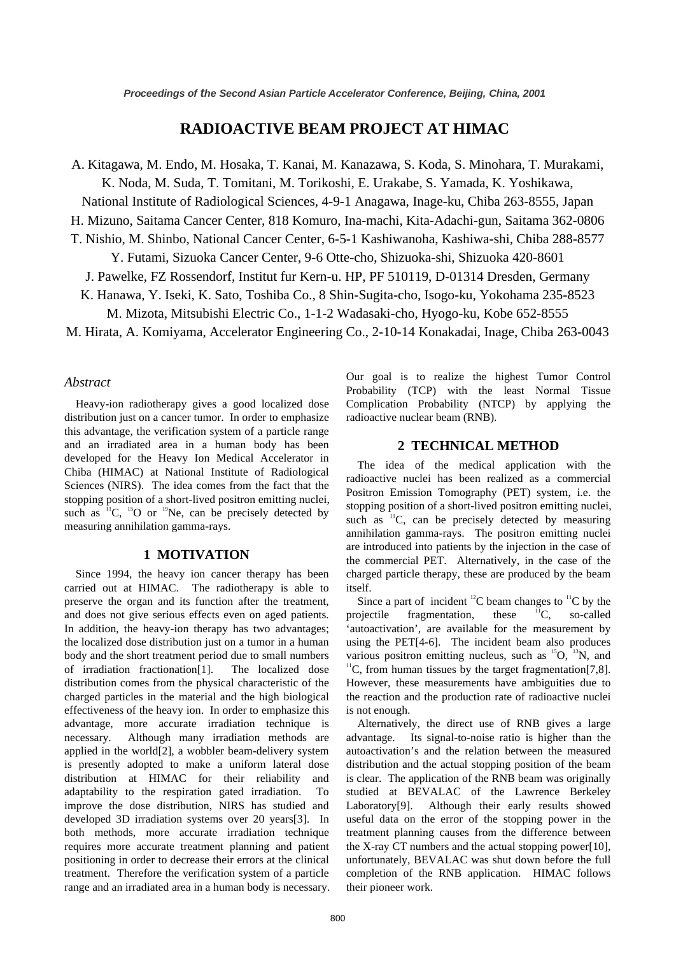# **RADIOACTIVE BEAM PROJECT AT HIMAC**

A. Kitagawa, M. Endo, M. Hosaka, T. Kanai, M. Kanazawa, S. Koda, S. Minohara, T. Murakami,

K. Noda, M. Suda, T. Tomitani, M. Torikoshi, E. Urakabe, S. Yamada, K. Yoshikawa,

National Institute of Radiological Sciences, 4-9-1 Anagawa, Inage-ku, Chiba 263-8555, Japan

H. Mizuno, Saitama Cancer Center, 818 Komuro, Ina-machi, Kita-Adachi-gun, Saitama 362-0806

T. Nishio, M. Shinbo, National Cancer Center, 6-5-1 Kashiwanoha, Kashiwa-shi, Chiba 288-8577

Y. Futami, Sizuoka Cancer Center, 9-6 Otte-cho, Shizuoka-shi, Shizuoka 420-8601

J. Pawelke, FZ Rossendorf, Institut fur Kern-u. HP, PF 510119, D-01314 Dresden, Germany

K. Hanawa, Y. Iseki, K. Sato, Toshiba Co., 8 Shin-Sugita-cho, Isogo-ku, Yokohama 235-8523

M. Mizota, Mitsubishi Electric Co., 1-1-2 Wadasaki-cho, Hyogo-ku, Kobe 652-8555

M. Hirata, A. Komiyama, Accelerator Engineering Co., 2-10-14 Konakadai, Inage, Chiba 263-0043

#### *Abstract*

Heavy-ion radiotherapy gives a good localized dose distribution just on a cancer tumor. In order to emphasize this advantage, the verification system of a particle range and an irradiated area in a human body has been developed for the Heavy Ion Medical Accelerator in Chiba (HIMAC) at National Institute of Radiological Sciences (NIRS). The idea comes from the fact that the stopping position of a short-lived positron emitting nuclei, such as  ${}^{11}C$ ,  ${}^{15}O$  or  ${}^{19}Ne$ , can be precisely detected by measuring annihilation gamma-rays.

# **1 MOTIVATION**

Since 1994, the heavy ion cancer therapy has been carried out at HIMAC. The radiotherapy is able to preserve the organ and its function after the treatment, and does not give serious effects even on aged patients. In addition, the heavy-ion therapy has two advantages; the localized dose distribution just on a tumor in a human body and the short treatment period due to small numbers of irradiation fractionation[1]. The localized dose distribution comes from the physical characteristic of the charged particles in the material and the high biological effectiveness of the heavy ion. In order to emphasize this advantage, more accurate irradiation technique is necessary. Although many irradiation methods are applied in the world[2], a wobbler beam-delivery system is presently adopted to make a uniform lateral dose distribution at HIMAC for their reliability and adaptability to the respiration gated irradiation. To improve the dose distribution, NIRS has studied and developed 3D irradiation systems over 20 years[3]. In both methods, more accurate irradiation technique requires more accurate treatment planning and patient positioning in order to decrease their errors at the clinical treatment. Therefore the verification system of a particle range and an irradiated area in a human body is necessary.

Our goal is to realize the highest Tumor Control Probability (TCP) with the least Normal Tissue Complication Probability (NTCP) by applying the radioactive nuclear beam (RNB).

#### **2 TECHNICAL METHOD**

The idea of the medical application with the radioactive nuclei has been realized as a commercial Positron Emission Tomography (PET) system, i.e. the stopping position of a short-lived positron emitting nuclei, such as  ${}^{11}C$ , can be precisely detected by measuring annihilation gamma-rays. The positron emitting nuclei are introduced into patients by the injection in the case of the commercial PET. Alternatively, in the case of the charged particle therapy, these are produced by the beam itself.

Since a part of incident  ${}^{12}C$  beam changes to  ${}^{11}C$  by the projectile fragmentation, these  ${}^{11}C$ , so-called 'autoactivation', are available for the measurement by using the PET[4-6]. The incident beam also produces various positron emitting nucleus, such as  ${}^{15}O$ ,  ${}^{13}N$ , and  $\rm ^{11}C$ , from human tissues by the target fragmentation [7,8]. However, these measurements have ambiguities due to the reaction and the production rate of radioactive nuclei is not enough.

Alternatively, the direct use of RNB gives a large advantage. Its signal-to-noise ratio is higher than the autoactivation's and the relation between the measured distribution and the actual stopping position of the beam is clear. The application of the RNB beam was originally studied at BEVALAC of the Lawrence Berkeley Laboratory[9]. Although their early results showed useful data on the error of the stopping power in the treatment planning causes from the difference between the X-ray CT numbers and the actual stopping power[10], unfortunately, BEVALAC was shut down before the full completion of the RNB application. HIMAC follows their pioneer work.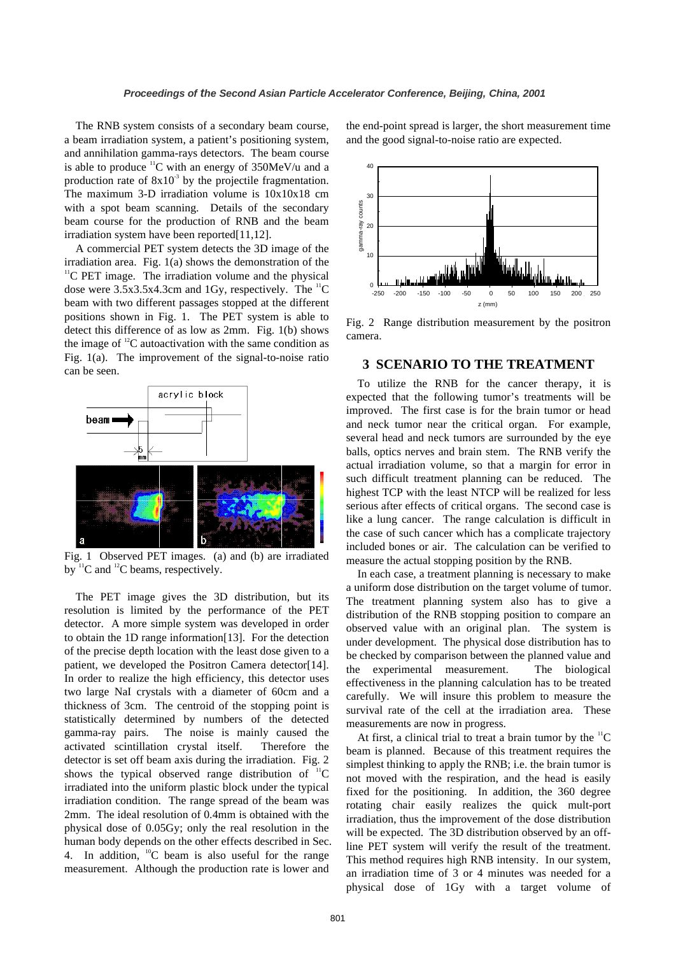The RNB system consists of a secondary beam course, a beam irradiation system, a patient's positioning system, and annihilation gamma-rays detectors. The beam course is able to produce  ${}^{11}C$  with an energy of 350MeV/u and a production rate of  $8x10<sup>3</sup>$  by the projectile fragmentation. The maximum 3-D irradiation volume is 10x10x18 cm with a spot beam scanning. Details of the secondary beam course for the production of RNB and the beam irradiation system have been reported[11,12].

A commercial PET system detects the 3D image of the irradiation area. Fig. 1(a) shows the demonstration of the  $\rm{^{11}C}$  PET image. The irradiation volume and the physical dose were  $3.5x3.5x4.3cm$  and 1Gy, respectively. The  ${}^{11}$ C beam with two different passages stopped at the different positions shown in Fig. 1. The PET system is able to detect this difference of as low as 2mm. Fig. 1(b) shows the image of  ${}^{12}C$  autoactivation with the same condition as Fig. 1(a). The improvement of the signal-to-noise ratio can be seen.



Fig. 1 Observed PET images. (a) and (b) are irradiated by  ${}^{11}C$  and  ${}^{12}C$  beams, respectively.

The PET image gives the 3D distribution, but its resolution is limited by the performance of the PET detector. A more simple system was developed in order to obtain the 1D range information[13]. For the detection of the precise depth location with the least dose given to a patient, we developed the Positron Camera detector[14]. In order to realize the high efficiency, this detector uses two large NaI crystals with a diameter of 60cm and a thickness of 3cm. The centroid of the stopping point is statistically determined by numbers of the detected gamma-ray pairs. The noise is mainly caused the activated scintillation crystal itself. Therefore the detector is set off beam axis during the irradiation. Fig. 2 shows the typical observed range distribution of  ${}^{11}C$ irradiated into the uniform plastic block under the typical irradiation condition. The range spread of the beam was 2mm. The ideal resolution of 0.4mm is obtained with the physical dose of 0.05Gy; only the real resolution in the human body depends on the other effects described in Sec. 4. In addition,  ${}^{10}$ C beam is also useful for the range measurement. Although the production rate is lower and

the end-point spread is larger, the short measurement time and the good signal-to-noise ratio are expected.



Fig. 2 Range distribution measurement by the positron camera.

### **3 SCENARIO TO THE TREATMENT**

To utilize the RNB for the cancer therapy, it is expected that the following tumor's treatments will be improved. The first case is for the brain tumor or head and neck tumor near the critical organ. For example, several head and neck tumors are surrounded by the eye balls, optics nerves and brain stem. The RNB verify the actual irradiation volume, so that a margin for error in such difficult treatment planning can be reduced. The highest TCP with the least NTCP will be realized for less serious after effects of critical organs. The second case is like a lung cancer. The range calculation is difficult in the case of such cancer which has a complicate trajectory included bones or air. The calculation can be verified to measure the actual stopping position by the RNB.

In each case, a treatment planning is necessary to make a uniform dose distribution on the target volume of tumor. The treatment planning system also has to give a distribution of the RNB stopping position to compare an observed value with an original plan. The system is under development. The physical dose distribution has to be checked by comparison between the planned value and the experimental measurement. The biological effectiveness in the planning calculation has to be treated carefully. We will insure this problem to measure the survival rate of the cell at the irradiation area. These measurements are now in progress.

At first, a clinical trial to treat a brain tumor by the  ${}^{11}C$ beam is planned. Because of this treatment requires the simplest thinking to apply the RNB; i.e. the brain tumor is not moved with the respiration, and the head is easily fixed for the positioning. In addition, the 360 degree rotating chair easily realizes the quick mult-port irradiation, thus the improvement of the dose distribution will be expected. The 3D distribution observed by an offline PET system will verify the result of the treatment. This method requires high RNB intensity. In our system, an irradiation time of 3 or 4 minutes was needed for a physical dose of 1Gy with a target volume of